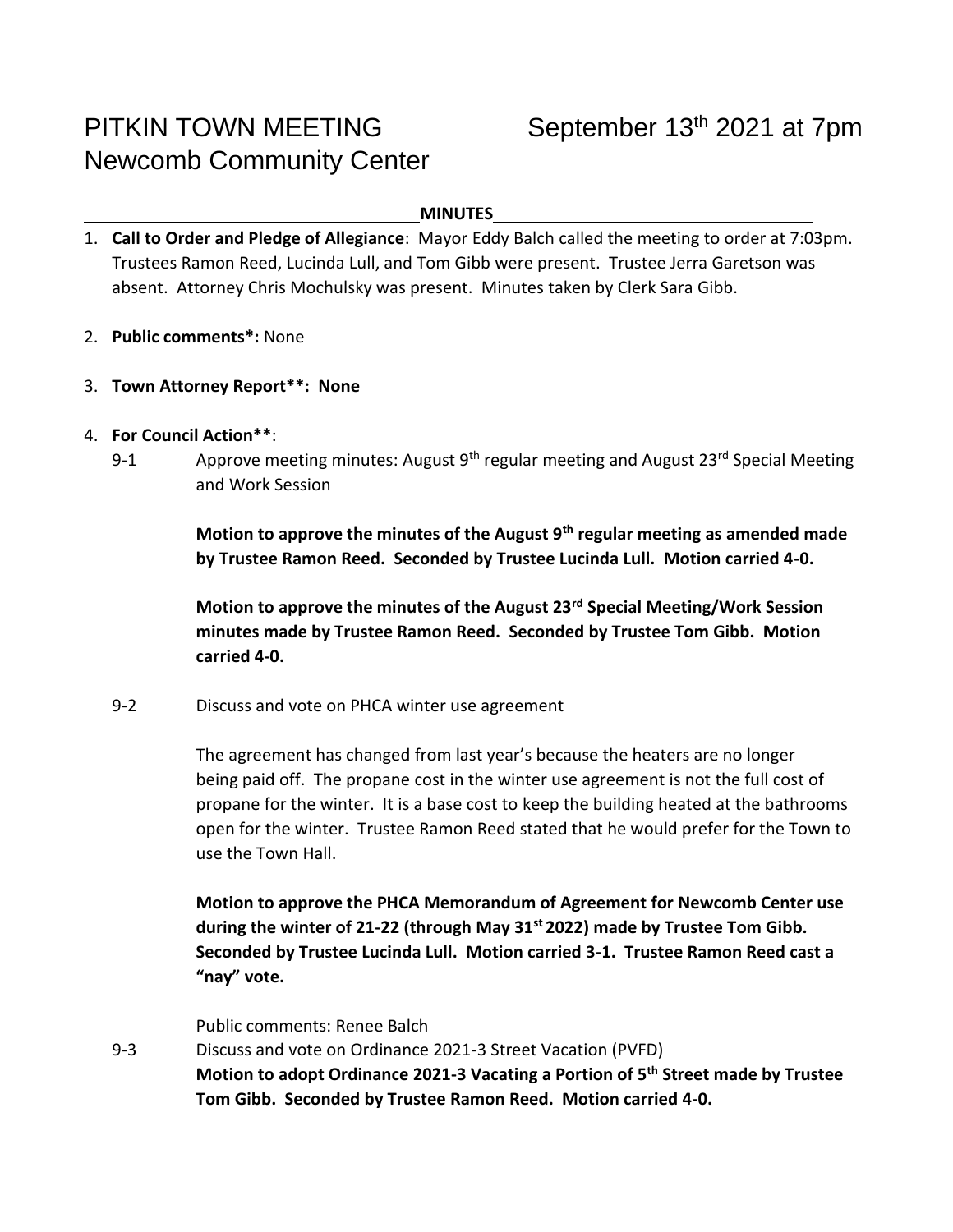# PITKIN TOWN MEETING September 13<sup>th</sup> 2021 at 7pm Newcomb Community Center

#### **MINUTES**

- 1. **Call to Order and Pledge of Allegiance**: Mayor Eddy Balch called the meeting to order at 7:03pm. Trustees Ramon Reed, Lucinda Lull, and Tom Gibb were present. Trustee Jerra Garetson was absent. Attorney Chris Mochulsky was present. Minutes taken by Clerk Sara Gibb.
- 2. **Public comments\*:** None
- 3. **Town Attorney Report\*\*: None**
- 4. **For Council Action\*\***:
	- 9-1 Approve meeting minutes: August 9<sup>th</sup> regular meeting and August 23<sup>rd</sup> Special Meeting and Work Session

**Motion to approve the minutes of the August 9th regular meeting as amended made by Trustee Ramon Reed. Seconded by Trustee Lucinda Lull. Motion carried 4-0.** 

**Motion to approve the minutes of the August 23rd Special Meeting/Work Session minutes made by Trustee Ramon Reed. Seconded by Trustee Tom Gibb. Motion carried 4-0.**

9-2 Discuss and vote on PHCA winter use agreement

The agreement has changed from last year's because the heaters are no longer being paid off. The propane cost in the winter use agreement is not the full cost of propane for the winter. It is a base cost to keep the building heated at the bathrooms open for the winter. Trustee Ramon Reed stated that he would prefer for the Town to use the Town Hall.

**Motion to approve the PHCA Memorandum of Agreement for Newcomb Center use during the winter of 21-22 (through May 31st 2022) made by Trustee Tom Gibb. Seconded by Trustee Lucinda Lull. Motion carried 3-1. Trustee Ramon Reed cast a "nay" vote.** 

Public comments: Renee Balch

9-3 Discuss and vote on Ordinance 2021-3 Street Vacation (PVFD) **Motion to adopt Ordinance 2021-3 Vacating a Portion of 5th Street made by Trustee Tom Gibb. Seconded by Trustee Ramon Reed. Motion carried 4-0.**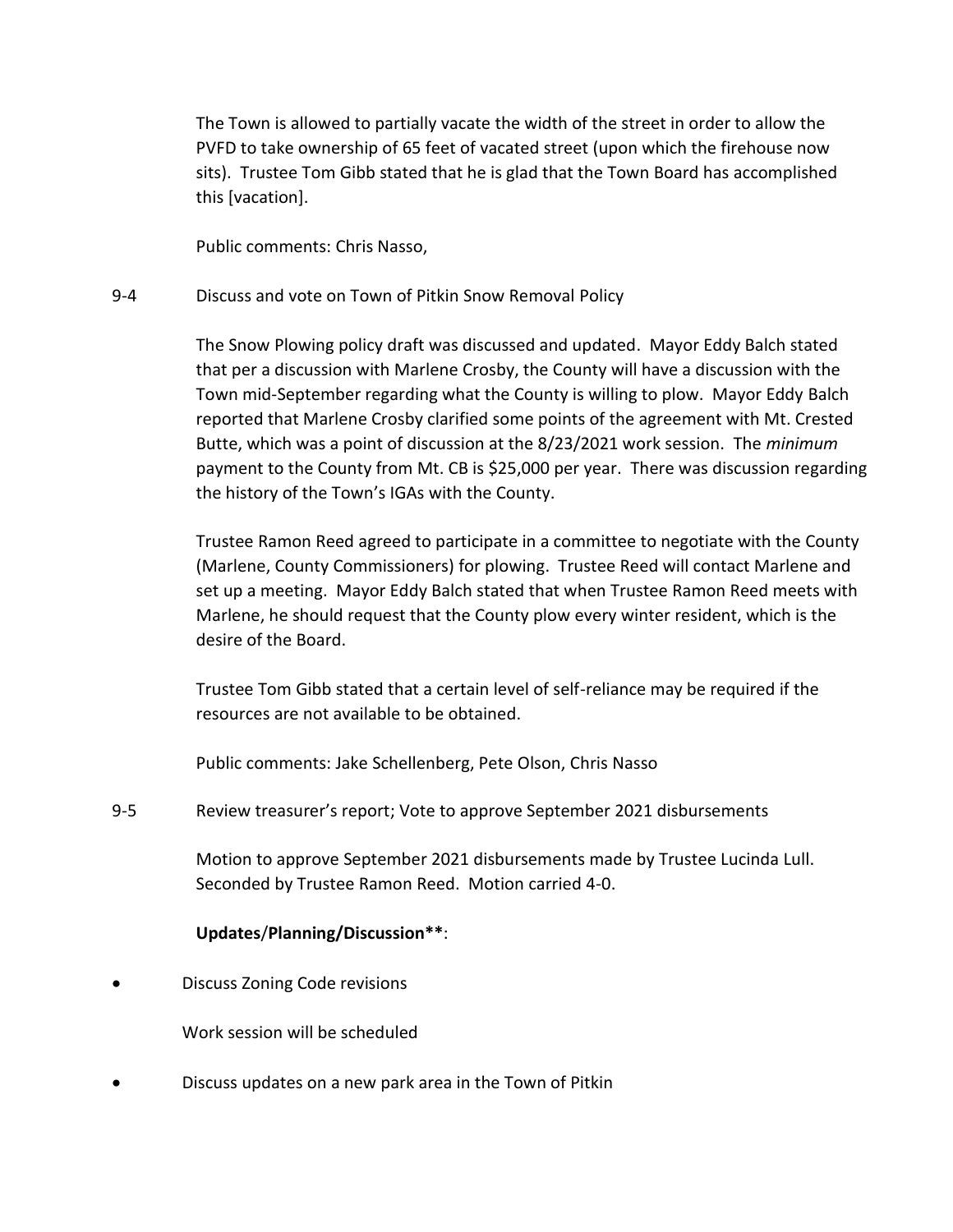The Town is allowed to partially vacate the width of the street in order to allow the PVFD to take ownership of 65 feet of vacated street (upon which the firehouse now sits). Trustee Tom Gibb stated that he is glad that the Town Board has accomplished this [vacation].

Public comments: Chris Nasso,

### 9-4 Discuss and vote on Town of Pitkin Snow Removal Policy

The Snow Plowing policy draft was discussed and updated. Mayor Eddy Balch stated that per a discussion with Marlene Crosby, the County will have a discussion with the Town mid-September regarding what the County is willing to plow. Mayor Eddy Balch reported that Marlene Crosby clarified some points of the agreement with Mt. Crested Butte, which was a point of discussion at the 8/23/2021 work session. The *minimum* payment to the County from Mt. CB is \$25,000 per year. There was discussion regarding the history of the Town's IGAs with the County.

Trustee Ramon Reed agreed to participate in a committee to negotiate with the County (Marlene, County Commissioners) for plowing. Trustee Reed will contact Marlene and set up a meeting. Mayor Eddy Balch stated that when Trustee Ramon Reed meets with Marlene, he should request that the County plow every winter resident, which is the desire of the Board.

Trustee Tom Gibb stated that a certain level of self-reliance may be required if the resources are not available to be obtained.

Public comments: Jake Schellenberg, Pete Olson, Chris Nasso

9-5 Review treasurer's report; Vote to approve September 2021 disbursements

Motion to approve September 2021 disbursements made by Trustee Lucinda Lull. Seconded by Trustee Ramon Reed. Motion carried 4-0.

### **Updates**/**Planning/Discussion\*\***:

• Discuss Zoning Code revisions

Work session will be scheduled

• Discuss updates on a new park area in the Town of Pitkin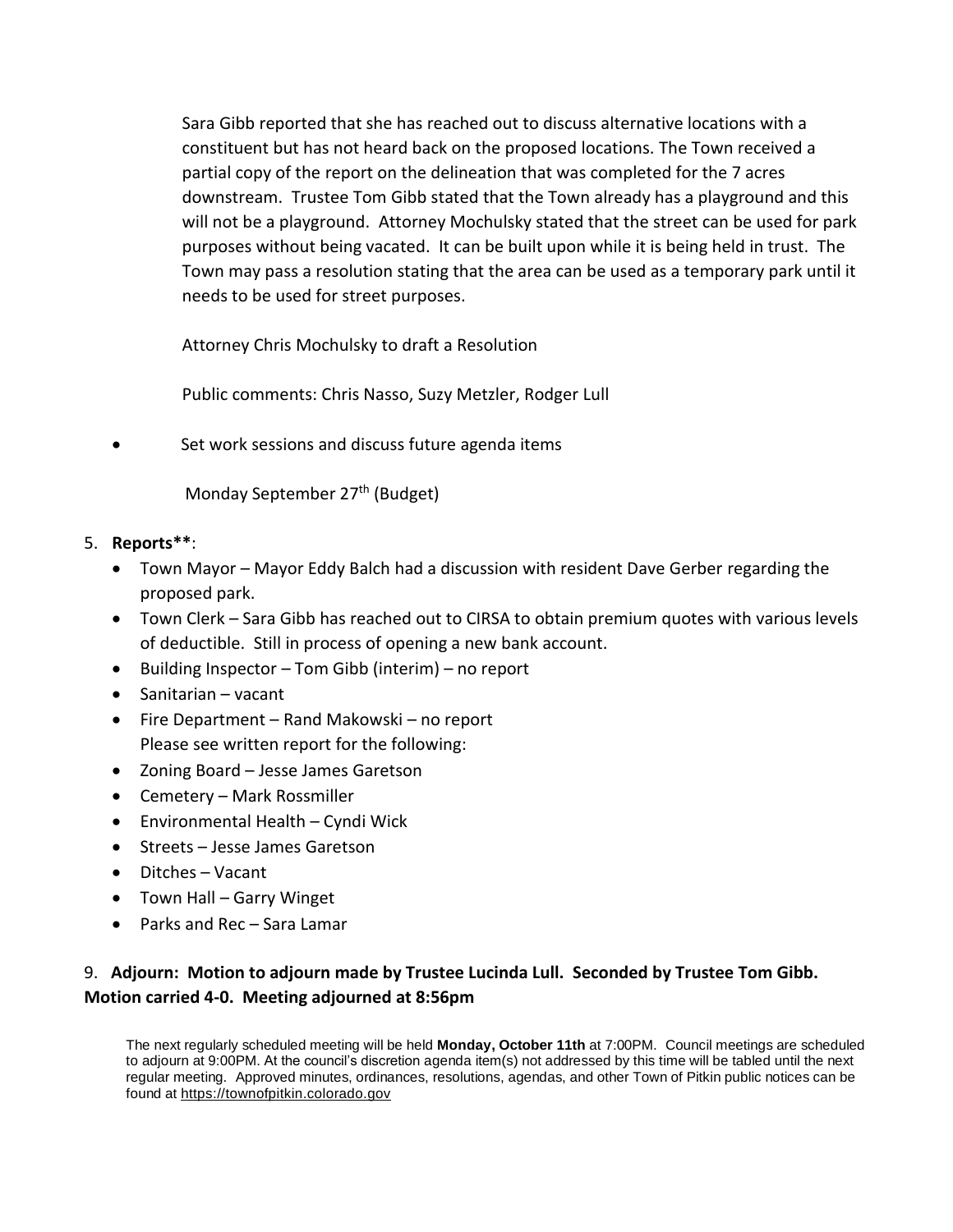Sara Gibb reported that she has reached out to discuss alternative locations with a constituent but has not heard back on the proposed locations. The Town received a partial copy of the report on the delineation that was completed for the 7 acres downstream. Trustee Tom Gibb stated that the Town already has a playground and this will not be a playground. Attorney Mochulsky stated that the street can be used for park purposes without being vacated. It can be built upon while it is being held in trust. The Town may pass a resolution stating that the area can be used as a temporary park until it needs to be used for street purposes.

Attorney Chris Mochulsky to draft a Resolution

Public comments: Chris Nasso, Suzy Metzler, Rodger Lull

Set work sessions and discuss future agenda items

Monday September 27<sup>th</sup> (Budget)

#### 5. **Reports\*\***:

- Town Mayor Mayor Eddy Balch had a discussion with resident Dave Gerber regarding the proposed park.
- Town Clerk Sara Gibb has reached out to CIRSA to obtain premium quotes with various levels of deductible. Still in process of opening a new bank account.
- Building Inspector Tom Gibb (interim) no report
- Sanitarian vacant
- Fire Department Rand Makowski no report Please see written report for the following:
- Zoning Board Jesse James Garetson
- Cemetery Mark Rossmiller
- Environmental Health Cyndi Wick
- Streets Jesse James Garetson
- Ditches Vacant
- Town Hall Garry Winget
- Parks and Rec Sara Lamar

## 9. **Adjourn: Motion to adjourn made by Trustee Lucinda Lull. Seconded by Trustee Tom Gibb. Motion carried 4-0. Meeting adjourned at 8:56pm**

The next regularly scheduled meeting will be held **Monday, October 11th** at 7:00PM. Council meetings are scheduled to adjourn at 9:00PM. At the council's discretion agenda item(s) not addressed by this time will be tabled until the next regular meeting. Approved minutes, ordinances, resolutions, agendas, and other Town of Pitkin public notices can be found at https://townofpitkin.colorado.gov